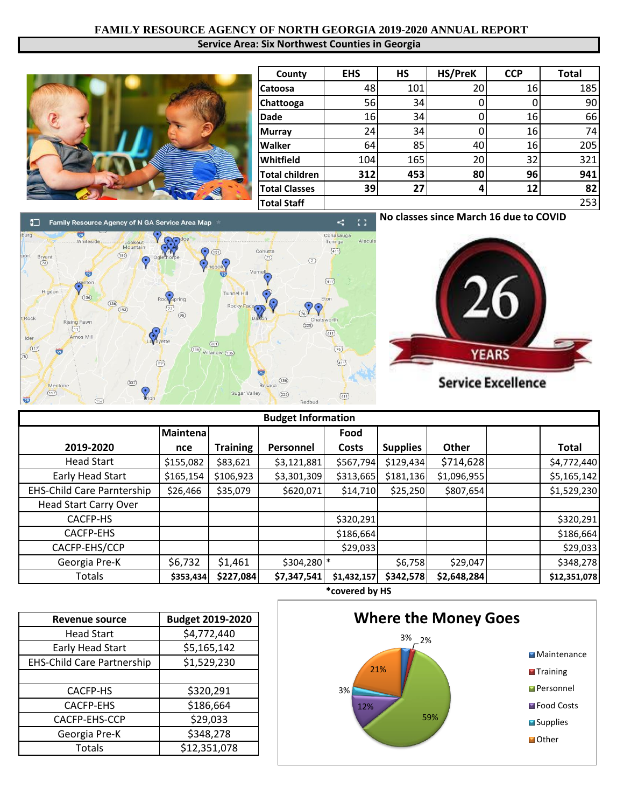## **FAMILY RESOURCE AGENCY OF NORTH GEORGIA 2019-2020 ANNUAL REPORT Service Area: Six Northwest Counties in Georgia**



| County                | <b>EHS</b> | <b>HS</b> | HS/PreK | <b>CCP</b><br><b>Total</b> |     |
|-----------------------|------------|-----------|---------|----------------------------|-----|
| <b>Catoosa</b>        | 48         | 101       | 20      | 16                         | 185 |
| Chattooga             | 56         | 34        |         |                            | 90  |
| <b>Dade</b>           | 16         | 34        |         | 16                         | 66  |
| <b>Murray</b>         | 24         | 34        |         | 16                         | 74  |
| <b>Walker</b>         | 64         | 85        | 40      | 16                         | 205 |
| Whitfield             | 104        | 165       | 20      | 32                         | 321 |
| <b>Total children</b> | 312        | 453       | 80      | 96                         | 941 |
| <b>Total Classes</b>  | 39         | 27        |         | 12                         | 82  |
| <b>Total Staff</b>    |            |           |         |                            | 253 |

**No classes since March 16 due to COVID**  $\overline{1}$ 



| <b>Budget Information</b>         |           |                 |             |             |                 |              |  |              |
|-----------------------------------|-----------|-----------------|-------------|-------------|-----------------|--------------|--|--------------|
|                                   | Maintena  |                 |             | Food        |                 |              |  |              |
| 2019-2020                         | nce       | <b>Training</b> | Personnel   | Costs       | <b>Supplies</b> | <b>Other</b> |  | <b>Total</b> |
| <b>Head Start</b>                 | \$155,082 | \$83,621        | \$3,121,881 | \$567,794   | \$129,434       | \$714,628    |  | \$4,772,440  |
| Early Head Start                  | \$165,154 | \$106,923       | \$3,301,309 | \$313,665   | \$181,136       | \$1,096,955  |  | \$5,165,142  |
| <b>EHS-Child Care Parntership</b> | \$26,466  | \$35,079        | \$620,071   | \$14,710    | \$25,250        | \$807,654    |  | \$1,529,230  |
| <b>Head Start Carry Over</b>      |           |                 |             |             |                 |              |  |              |
| CACFP-HS                          |           |                 |             | \$320,291   |                 |              |  | \$320,291    |
| <b>CACFP-EHS</b>                  |           |                 |             | \$186,664   |                 |              |  | \$186,664    |
| CACFP-EHS/CCP                     |           |                 |             | \$29,033    |                 |              |  | \$29,033     |
| Georgia Pre-K                     | \$6,732   | \$1,461         | \$304,280 * |             | \$6,758         | \$29,047     |  | \$348,278    |
| <b>Totals</b>                     | \$353,434 | \$227,084       | \$7,347,541 | \$1,432,157 | \$342,578       | \$2,648,284  |  | \$12,351,078 |

| <b>Revenue source</b>             | <b>Budget 2019-2020</b> |  |  |
|-----------------------------------|-------------------------|--|--|
| <b>Head Start</b>                 | \$4,772,440             |  |  |
| <b>Early Head Start</b>           | \$5,165,142             |  |  |
| <b>EHS-Child Care Partnership</b> | \$1,529,230             |  |  |
|                                   |                         |  |  |
| CACFP-HS                          | \$320,291               |  |  |
| <b>CACFP-EHS</b>                  | \$186,664               |  |  |
| CACFP-EHS-CCP                     | \$29,033                |  |  |
| Georgia Pre-K                     | \$348,278               |  |  |
| Totals                            | \$12,351,078            |  |  |



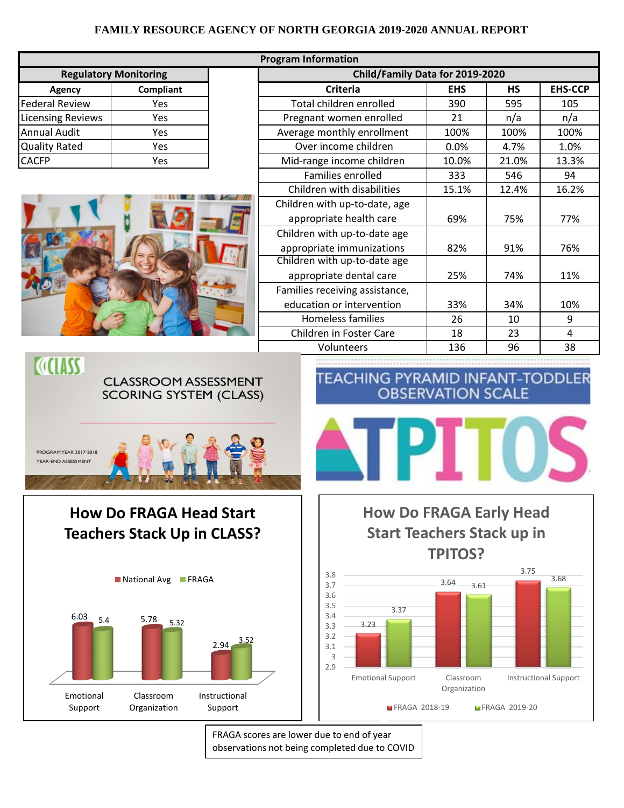## **FAMILY RESOURCE AGENCY OF NORTH GEORGIA 2019-2020 ANNUAL REPORT**

| <b>Program Information</b>                           |                                                      |                          |                                   |                                                                                                              |                           |               |                                      |  |
|------------------------------------------------------|------------------------------------------------------|--------------------------|-----------------------------------|--------------------------------------------------------------------------------------------------------------|---------------------------|---------------|--------------------------------------|--|
| <b>Regulatory Monitoring</b>                         |                                                      |                          | Child/Family Data for 2019-2020   |                                                                                                              |                           |               |                                      |  |
| Agency                                               | Compliant                                            |                          |                                   | <b>Criteria</b>                                                                                              | <b>EHS</b>                | <b>HS</b>     | <b>EHS-CCP</b>                       |  |
| <b>Federal Review</b>                                | Yes                                                  |                          | Total children enrolled           |                                                                                                              | 390                       | 595           | 105                                  |  |
| <b>Licensing Reviews</b>                             | Yes                                                  |                          | Pregnant women enrolled           |                                                                                                              | 21                        | n/a           | n/a                                  |  |
| <b>Annual Audit</b>                                  | Yes                                                  |                          |                                   | Average monthly enrollment                                                                                   | 100%                      | 100%          | 100%                                 |  |
| <b>Quality Rated</b>                                 | Yes                                                  |                          |                                   | Over income children                                                                                         | 0.0%                      | 4.7%          | 1.0%                                 |  |
| <b>CACFP</b>                                         | Yes                                                  |                          |                                   | Mid-range income children<br>Families enrolled                                                               | 10.0%<br>333              | 21.0%<br>546  | 13.3%<br>94                          |  |
|                                                      |                                                      |                          |                                   | Children with disabilities                                                                                   | 15.1%                     | 12.4%         | 16.2%                                |  |
|                                                      |                                                      |                          |                                   | Children with up-to-date, age                                                                                |                           |               |                                      |  |
|                                                      |                                                      |                          |                                   | appropriate health care                                                                                      | 69%                       | 75%           | 77%                                  |  |
|                                                      |                                                      |                          |                                   | Children with up-to-date age<br>appropriate immunizations                                                    | 82%                       | 91%           | 76%                                  |  |
|                                                      |                                                      |                          |                                   | Children with up-to-date age<br>appropriate dental care                                                      | 25%                       | 74%           | 11%                                  |  |
|                                                      |                                                      |                          |                                   | Families receiving assistance,                                                                               |                           |               |                                      |  |
|                                                      |                                                      |                          |                                   | education or intervention                                                                                    | 33%                       | 34%           | 10%                                  |  |
|                                                      |                                                      |                          |                                   | Homeless families                                                                                            | 26                        | 10            | 9                                    |  |
|                                                      |                                                      |                          |                                   | Children in Foster Care                                                                                      | 18                        | 23            | $\overline{4}$                       |  |
| <b>COLLASS.</b>                                      |                                                      |                          |                                   | Volunteers                                                                                                   | 136                       | 96            | 38                                   |  |
| <b>PROGRAM YEAR 2017-2018</b><br>YEAR-END ASSESSMENT |                                                      |                          |                                   |                                                                                                              |                           |               |                                      |  |
| <b>How Do FRAGA Head Start</b>                       |                                                      |                          |                                   | <b>How Do FRAGA Early Head</b>                                                                               |                           |               |                                      |  |
| <b>Teachers Stack Up in CLASS?</b>                   |                                                      |                          | <b>Start Teachers Stack up in</b> |                                                                                                              |                           |               |                                      |  |
|                                                      |                                                      |                          |                                   |                                                                                                              | <b>TPITOS?</b>            |               |                                      |  |
| 6.03<br>5.4                                          | National Avg<br>$\blacksquare$ FRAGA<br>5.78<br>5.32 | $2.94 \overline{)3.52}$  |                                   | 3.8<br>3.7<br>3.6<br>3.5<br>3.37<br>3.4<br>3.23<br>3.3<br>3.2<br>3.1<br>3<br>2.9<br><b>Emotional Support</b> | 3.64<br>3.61<br>Classroom | 3.75          | 3.68<br><b>Instructional Support</b> |  |
| Emotional<br>Support                                 | Classroom<br>Organization                            | Instructional<br>Support |                                   | FRAGA 2018-19                                                                                                | Organization              | FRAGA 2019-20 |                                      |  |

FRAGA scores are lower due to end of year observations not being completed due to COVID